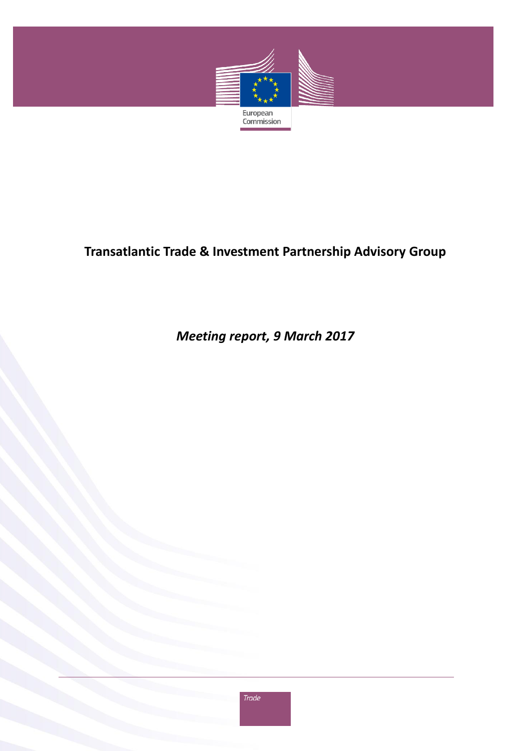

# **Transatlantic Trade & Investment Partnership Advisory Group**

# *Meeting report, 9 March 2017*

Trade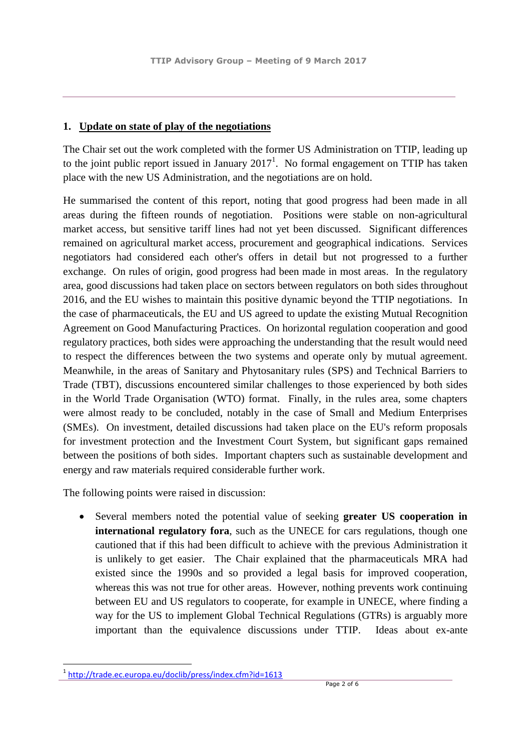### **1. Update on state of play of the negotiations**

The Chair set out the work completed with the former US Administration on TTIP, leading up to the joint public report issued in January  $2017<sup>1</sup>$ . No formal engagement on TTIP has taken place with the new US Administration, and the negotiations are on hold.

He summarised the content of this report, noting that good progress had been made in all areas during the fifteen rounds of negotiation. Positions were stable on non-agricultural market access, but sensitive tariff lines had not yet been discussed. Significant differences remained on agricultural market access, procurement and geographical indications. Services negotiators had considered each other's offers in detail but not progressed to a further exchange. On rules of origin, good progress had been made in most areas. In the regulatory area, good discussions had taken place on sectors between regulators on both sides throughout 2016, and the EU wishes to maintain this positive dynamic beyond the TTIP negotiations. In the case of pharmaceuticals, the EU and US agreed to update the existing Mutual Recognition Agreement on Good Manufacturing Practices. On horizontal regulation cooperation and good regulatory practices, both sides were approaching the understanding that the result would need to respect the differences between the two systems and operate only by mutual agreement. Meanwhile, in the areas of Sanitary and Phytosanitary rules (SPS) and Technical Barriers to Trade (TBT), discussions encountered similar challenges to those experienced by both sides in the World Trade Organisation (WTO) format. Finally, in the rules area, some chapters were almost ready to be concluded, notably in the case of Small and Medium Enterprises (SMEs). On investment, detailed discussions had taken place on the EU's reform proposals for investment protection and the Investment Court System, but significant gaps remained between the positions of both sides. Important chapters such as sustainable development and energy and raw materials required considerable further work.

The following points were raised in discussion:

 Several members noted the potential value of seeking **greater US cooperation in international regulatory fora**, such as the UNECE for cars regulations, though one cautioned that if this had been difficult to achieve with the previous Administration it is unlikely to get easier. The Chair explained that the pharmaceuticals MRA had existed since the 1990s and so provided a legal basis for improved cooperation, whereas this was not true for other areas. However, nothing prevents work continuing between EU and US regulators to cooperate, for example in UNECE, where finding a way for the US to implement Global Technical Regulations (GTRs) is arguably more important than the equivalence discussions under TTIP. Ideas about ex-ante

 $\overline{a}$ 1 <http://trade.ec.europa.eu/doclib/press/index.cfm?id=1613>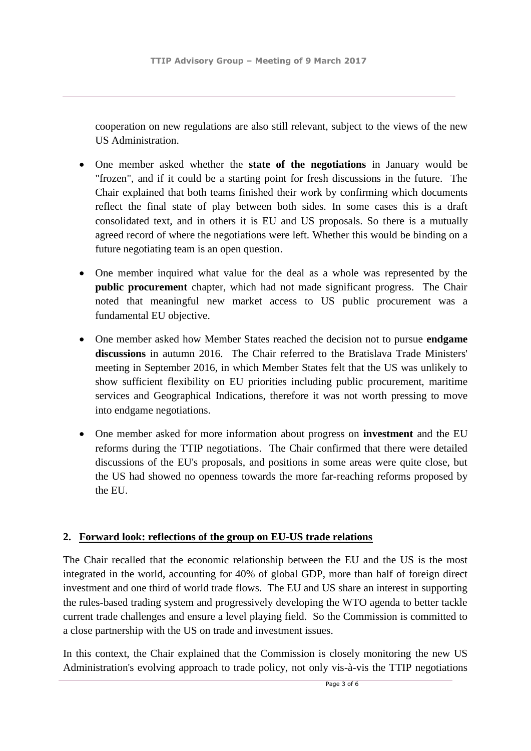cooperation on new regulations are also still relevant, subject to the views of the new US Administration.

- One member asked whether the **state of the negotiations** in January would be "frozen", and if it could be a starting point for fresh discussions in the future. The Chair explained that both teams finished their work by confirming which documents reflect the final state of play between both sides. In some cases this is a draft consolidated text, and in others it is EU and US proposals. So there is a mutually agreed record of where the negotiations were left. Whether this would be binding on a future negotiating team is an open question.
- One member inquired what value for the deal as a whole was represented by the **public procurement** chapter, which had not made significant progress. The Chair noted that meaningful new market access to US public procurement was a fundamental EU objective.
- One member asked how Member States reached the decision not to pursue **endgame discussions** in autumn 2016. The Chair referred to the Bratislava Trade Ministers' meeting in September 2016, in which Member States felt that the US was unlikely to show sufficient flexibility on EU priorities including public procurement, maritime services and Geographical Indications, therefore it was not worth pressing to move into endgame negotiations.
- One member asked for more information about progress on **investment** and the EU reforms during the TTIP negotiations. The Chair confirmed that there were detailed discussions of the EU's proposals, and positions in some areas were quite close, but the US had showed no openness towards the more far-reaching reforms proposed by the EU.

## **2. Forward look: reflections of the group on EU-US trade relations**

The Chair recalled that the economic relationship between the EU and the US is the most integrated in the world, accounting for 40% of global GDP, more than half of foreign direct investment and one third of world trade flows. The EU and US share an interest in supporting the rules-based trading system and progressively developing the WTO agenda to better tackle current trade challenges and ensure a level playing field. So the Commission is committed to a close partnership with the US on trade and investment issues.

In this context, the Chair explained that the Commission is closely monitoring the new US Administration's evolving approach to trade policy, not only vis-à-vis the TTIP negotiations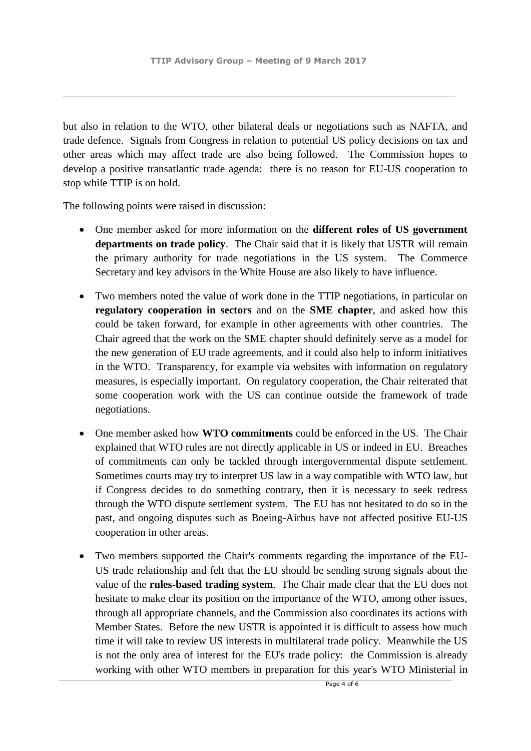but also in relation to the WTO, other bilateral deals or negotiations such as NAFTA, and trade defence. Signals from Congress in relation to potential US policy decisions on tax and other areas which may affect trade are also being followed. The Commission hopes to develop a positive transatlantic trade agenda: there is no reason for EU-US cooperation to stop while TTIP is on hold.

The following points were raised in discussion:

- One member asked for more information on the **different roles of US government departments on trade policy**. The Chair said that it is likely that USTR will remain the primary authority for trade negotiations in the US system. The Commerce Secretary and key advisors in the White House are also likely to have influence.
- Two members noted the value of work done in the TTIP negotiations, in particular on **regulatory cooperation in sectors** and on the **SME chapter**, and asked how this could be taken forward, for example in other agreements with other countries. The Chair agreed that the work on the SME chapter should definitely serve as a model for the new generation of EU trade agreements, and it could also help to inform initiatives in the WTO. Transparency, for example via websites with information on regulatory measures, is especially important. On regulatory cooperation, the Chair reiterated that some cooperation work with the US can continue outside the framework of trade negotiations.
- One member asked how **WTO commitments** could be enforced in the US. The Chair explained that WTO rules are not directly applicable in US or indeed in EU. Breaches of commitments can only be tackled through intergovernmental dispute settlement. Sometimes courts may try to interpret US law in a way compatible with WTO law, but if Congress decides to do something contrary, then it is necessary to seek redress through the WTO dispute settlement system. The EU has not hesitated to do so in the past, and ongoing disputes such as Boeing-Airbus have not affected positive EU-US cooperation in other areas.
- Two members supported the Chair's comments regarding the importance of the EU-US trade relationship and felt that the EU should be sending strong signals about the value of the **rules-based trading system**. The Chair made clear that the EU does not hesitate to make clear its position on the importance of the WTO, among other issues, through all appropriate channels, and the Commission also coordinates its actions with Member States. Before the new USTR is appointed it is difficult to assess how much time it will take to review US interests in multilateral trade policy. Meanwhile the US is not the only area of interest for the EU's trade policy: the Commission is already working with other WTO members in preparation for this year's WTO Ministerial in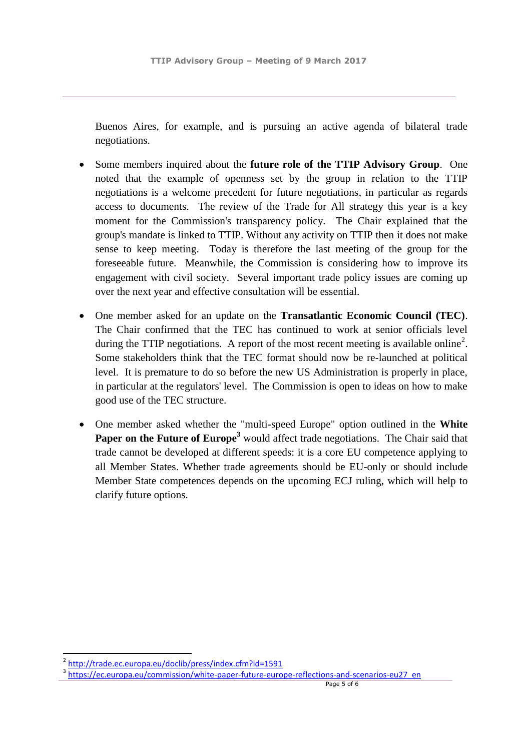Buenos Aires, for example, and is pursuing an active agenda of bilateral trade negotiations.

- Some members inquired about the **future role of the TTIP Advisory Group**. One noted that the example of openness set by the group in relation to the TTIP negotiations is a welcome precedent for future negotiations, in particular as regards access to documents. The review of the Trade for All strategy this year is a key moment for the Commission's transparency policy. The Chair explained that the group's mandate is linked to TTIP. Without any activity on TTIP then it does not make sense to keep meeting. Today is therefore the last meeting of the group for the foreseeable future. Meanwhile, the Commission is considering how to improve its engagement with civil society. Several important trade policy issues are coming up over the next year and effective consultation will be essential.
- One member asked for an update on the **Transatlantic Economic Council (TEC)**. The Chair confirmed that the TEC has continued to work at senior officials level during the TTIP negotiations. A report of the most recent meeting is available online<sup>2</sup>. Some stakeholders think that the TEC format should now be re-launched at political level. It is premature to do so before the new US Administration is properly in place, in particular at the regulators' level. The Commission is open to ideas on how to make good use of the TEC structure.
- One member asked whether the "multi-speed Europe" option outlined in the **White Paper on the Future of Europe<sup>3</sup>** would affect trade negotiations. The Chair said that trade cannot be developed at different speeds: it is a core EU competence applying to all Member States. Whether trade agreements should be EU-only or should include Member State competences depends on the upcoming ECJ ruling, which will help to clarify future options.

**.** 

<sup>2</sup> <http://trade.ec.europa.eu/doclib/press/index.cfm?id=1591>

<sup>&</sup>lt;sup>3</sup> [https://ec.europa.eu/commission/white-paper-future-europe-reflections-and-scenarios-eu27\\_en](https://ec.europa.eu/commission/white-paper-future-europe-reflections-and-scenarios-eu27_en)